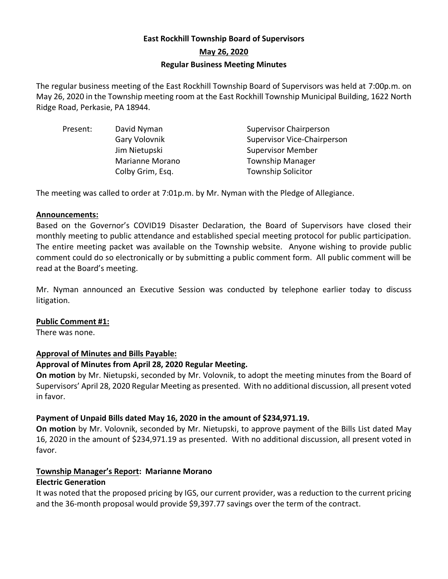# **East Rockhill Township Board of Supervisors May 26, 2020 Regular Business Meeting Minutes**

The regular business meeting of the East Rockhill Township Board of Supervisors was held at 7:00p.m. on May 26, 2020 in the Township meeting room at the East Rockhill Township Municipal Building, 1622 North Ridge Road, Perkasie, PA 18944.

| Present: | David Nyman      | <b>Supervisor Chairperson</b>      |
|----------|------------------|------------------------------------|
|          | Gary Volovnik    | <b>Supervisor Vice-Chairperson</b> |
|          | Jim Nietupski    | <b>Supervisor Member</b>           |
|          | Marianne Morano  | <b>Township Manager</b>            |
|          | Colby Grim, Esq. | <b>Township Solicitor</b>          |
|          |                  |                                    |

The meeting was called to order at 7:01p.m. by Mr. Nyman with the Pledge of Allegiance.

## **Announcements:**

Based on the Governor's COVID19 Disaster Declaration, the Board of Supervisors have closed their monthly meeting to public attendance and established special meeting protocol for public participation. The entire meeting packet was available on the Township website. Anyone wishing to provide public comment could do so electronically or by submitting a public comment form. All public comment will be read at the Board's meeting.

Mr. Nyman announced an Executive Session was conducted by telephone earlier today to discuss litigation.

# **Public Comment #1:**

There was none.

# **Approval of Minutes and Bills Payable:**

# **Approval of Minutes from April 28, 2020 Regular Meeting.**

**On motion** by Mr. Nietupski, seconded by Mr. Volovnik, to adopt the meeting minutes from the Board of Supervisors' April 28, 2020 Regular Meeting as presented. With no additional discussion, all present voted in favor.

# **Payment of Unpaid Bills dated May 16, 2020 in the amount of \$234,971.19.**

**On motion** by Mr. Volovnik, seconded by Mr. Nietupski, to approve payment of the Bills List dated May 16, 2020 in the amount of \$234,971.19 as presented. With no additional discussion, all present voted in favor.

# **Township Manager's Report: Marianne Morano**

# **Electric Generation**

It was noted that the proposed pricing by IGS, our current provider, was a reduction to the current pricing and the 36-month proposal would provide \$9,397.77 savings over the term of the contract.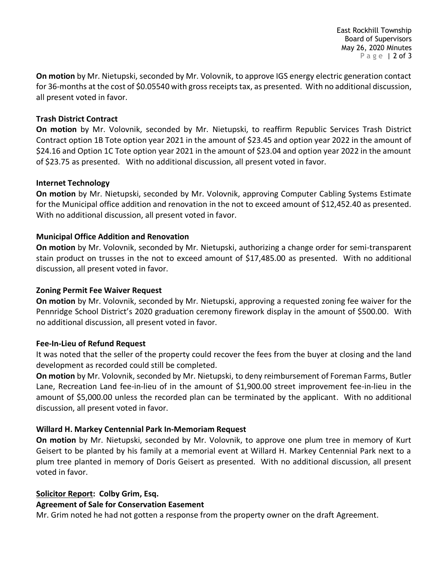**On motion** by Mr. Nietupski, seconded by Mr. Volovnik, to approve IGS energy electric generation contact for 36-months at the cost of \$0.05540 with gross receipts tax, as presented. With no additional discussion, all present voted in favor.

## **Trash District Contract**

**On motion** by Mr. Volovnik, seconded by Mr. Nietupski, to reaffirm Republic Services Trash District Contract option 1B Tote option year 2021 in the amount of \$23.45 and option year 2022 in the amount of \$24.16 and Option 1C Tote option year 2021 in the amount of \$23.04 and option year 2022 in the amount of \$23.75 as presented. With no additional discussion, all present voted in favor.

## **Internet Technology**

**On motion** by Mr. Nietupski, seconded by Mr. Volovnik, approving Computer Cabling Systems Estimate for the Municipal office addition and renovation in the not to exceed amount of \$12,452.40 as presented. With no additional discussion, all present voted in favor.

## **Municipal Office Addition and Renovation**

**On motion** by Mr. Volovnik, seconded by Mr. Nietupski, authorizing a change order for semi-transparent stain product on trusses in the not to exceed amount of \$17,485.00 as presented. With no additional discussion, all present voted in favor.

#### **Zoning Permit Fee Waiver Request**

**On motion** by Mr. Volovnik, seconded by Mr. Nietupski, approving a requested zoning fee waiver for the Pennridge School District's 2020 graduation ceremony firework display in the amount of \$500.00. With no additional discussion, all present voted in favor.

## **Fee-In-Lieu of Refund Request**

It was noted that the seller of the property could recover the fees from the buyer at closing and the land development as recorded could still be completed.

**On motion** by Mr. Volovnik, seconded by Mr. Nietupski, to deny reimbursement of Foreman Farms, Butler Lane, Recreation Land fee-in-lieu of in the amount of \$1,900.00 street improvement fee-in-lieu in the amount of \$5,000.00 unless the recorded plan can be terminated by the applicant. With no additional discussion, all present voted in favor.

## **Willard H. Markey Centennial Park In-Memoriam Request**

**On motion** by Mr. Nietupski, seconded by Mr. Volovnik, to approve one plum tree in memory of Kurt Geisert to be planted by his family at a memorial event at Willard H. Markey Centennial Park next to a plum tree planted in memory of Doris Geisert as presented. With no additional discussion, all present voted in favor.

## **Solicitor Report: Colby Grim, Esq.**

## **Agreement of Sale for Conservation Easement**

Mr. Grim noted he had not gotten a response from the property owner on the draft Agreement.